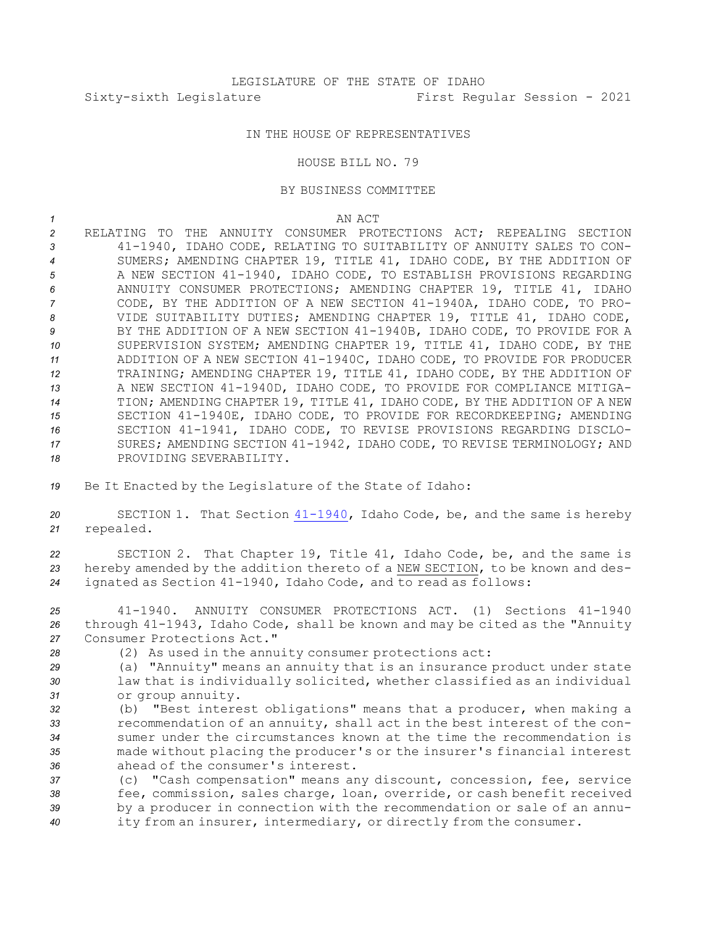## IN THE HOUSE OF REPRESENTATIVES

HOUSE BILL NO. 79

## BY BUSINESS COMMITTEE

*1* AN ACT

- *2* RELATING TO THE ANNUITY CONSUMER PROTECTIONS ACT; REPEALING SECTION *<sup>3</sup>* 41-1940, IDAHO CODE, RELATING TO SUITABILITY OF ANNUITY SALES TO CON-*<sup>4</sup>* SUMERS; AMENDING CHAPTER 19, TITLE 41, IDAHO CODE, BY THE ADDITION OF *<sup>5</sup>* A NEW SECTION 41-1940, IDAHO CODE, TO ESTABLISH PROVISIONS REGARDING *<sup>6</sup>* ANNUITY CONSUMER PROTECTIONS; AMENDING CHAPTER 19, TITLE 41, IDAHO *<sup>7</sup>* CODE, BY THE ADDITION OF A NEW SECTION 41-1940A, IDAHO CODE, TO PRO-*<sup>8</sup>* VIDE SUITABILITY DUTIES; AMENDING CHAPTER 19, TITLE 41, IDAHO CODE, *<sup>9</sup>* BY THE ADDITION OF A NEW SECTION 41-1940B, IDAHO CODE, TO PROVIDE FOR A *<sup>10</sup>* SUPERVISION SYSTEM; AMENDING CHAPTER 19, TITLE 41, IDAHO CODE, BY THE *<sup>11</sup>* ADDITION OF A NEW SECTION 41-1940C, IDAHO CODE, TO PROVIDE FOR PRODUCER *<sup>12</sup>* TRAINING; AMENDING CHAPTER 19, TITLE 41, IDAHO CODE, BY THE ADDITION OF *<sup>13</sup>* A NEW SECTION 41-1940D, IDAHO CODE, TO PROVIDE FOR COMPLIANCE MITIGA-*<sup>14</sup>* TION; AMENDING CHAPTER 19, TITLE 41, IDAHO CODE, BY THE ADDITION OF A NEW *<sup>15</sup>* SECTION 41-1940E, IDAHO CODE, TO PROVIDE FOR RECORDKEEPING; AMENDING *<sup>16</sup>* SECTION 41-1941, IDAHO CODE, TO REVISE PROVISIONS REGARDING DISCLO-*<sup>17</sup>* SURES; AMENDING SECTION 41-1942, IDAHO CODE, TO REVISE TERMINOLOGY; AND *18* PROVIDING SEVERABILITY.
- *<sup>19</sup>* Be It Enacted by the Legislature of the State of Idaho:
- *<sup>20</sup>* SECTION 1. That Section [41-1940](https://legislature.idaho.gov/statutesrules/idstat/Title41/T41CH19/SECT41-1940), Idaho Code, be, and the same is hereby *<sup>21</sup>* repealed.
- *<sup>22</sup>* SECTION 2. That Chapter 19, Title 41, Idaho Code, be, and the same is *<sup>23</sup>* hereby amended by the addition thereto of <sup>a</sup> NEW SECTION, to be known and des-*<sup>24</sup>* ignated as Section 41-1940, Idaho Code, and to read as follows:
- *25* 41-1940. ANNUITY CONSUMER PROTECTIONS ACT. (1) Sections 41-1940 *<sup>26</sup>* through 41-1943, Idaho Code, shall be known and may be cited as the "Annuity *27* Consumer Protections Act."
- *<sup>28</sup>* (2) As used in the annuity consumer protections act:
- *<sup>29</sup>* (a) "Annuity" means an annuity that is an insurance product under state *<sup>30</sup>* law that is individually solicited, whether classified as an individual *<sup>31</sup>* or group annuity.
- *<sup>32</sup>* (b) "Best interest obligations" means that <sup>a</sup> producer, when making <sup>a</sup> *<sup>33</sup>* recommendation of an annuity, shall act in the best interest of the con-*34* sumer under the circumstances known at the time the recommendation is *<sup>35</sup>* made without placing the producer's or the insurer's financial interest *36* ahead of the consumer's interest.
- *<sup>37</sup>* (c) "Cash compensation" means any discount, concession, fee, service *<sup>38</sup>* fee, commission, sales charge, loan, override, or cash benefit received *<sup>39</sup>* by <sup>a</sup> producer in connection with the recommendation or sale of an annu-*<sup>40</sup>* ity from an insurer, intermediary, or directly from the consumer.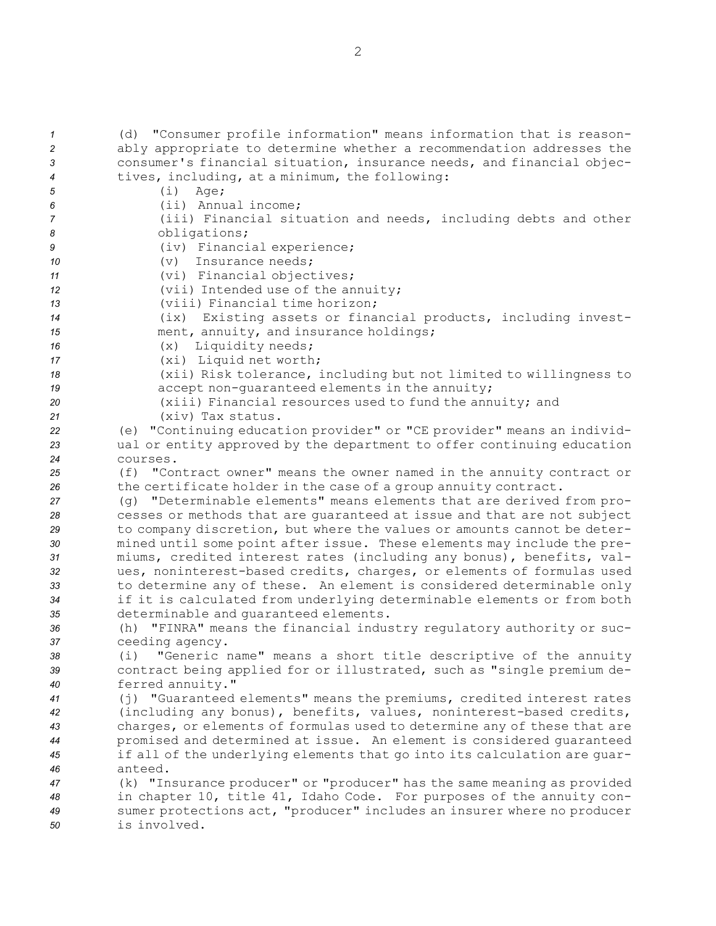(d) "Consumer profile information" means information that is reason- ably appropriate to determine whether <sup>a</sup> recommendation addresses the consumer's financial situation, insurance needs, and financial objec- tives, including, at <sup>a</sup> minimum, the following: *<sup>5</sup>* (i) Age; (ii) Annual income; (iii) Financial situation and needs, including debts and other obligations; (iv) Financial experience; (v) Insurance needs; (vi) Financial objectives; (vii) Intended use of the annuity; (viii) Financial time horizon; (ix) Existing assets or financial products, including invest- ment, annuity, and insurance holdings; 16 (x) Liquidity needs; (xi) Liquid net worth; (xii) Risk tolerance, including but not limited to willingness to accept non-guaranteed elements in the annuity; (xiii) Financial resources used to fund the annuity; and (xiv) Tax status. (e) "Continuing education provider" or "CE provider" means an individ- ual or entity approved by the department to offer continuing education *24* courses. (f) "Contract owner" means the owner named in the annuity contract or 26 the certificate holder in the case of a group annuity contract. (g) "Determinable elements" means elements that are derived from pro- cesses or methods that are guaranteed at issue and that are not subject to company discretion, but where the values or amounts cannot be deter- mined until some point after issue. These elements may include the pre- miums, credited interest rates (including any bonus), benefits, val- ues, noninterest-based credits, charges, or elements of formulas used to determine any of these. An element is considered determinable only if it is calculated from underlying determinable elements or from both determinable and guaranteed elements. (h) "FINRA" means the financial industry regulatory authority or suc- ceeding agency. (i) "Generic name" means <sup>a</sup> short title descriptive of the annuity contract being applied for or illustrated, such as "single premium de- ferred annuity." (j) "Guaranteed elements" means the premiums, credited interest rates (including any bonus), benefits, values, noninterest-based credits, charges, or elements of formulas used to determine any of these that are promised and determined at issue. An element is considered guaranteed if all of the underlying elements that go into its calculation are guar-*46* anteed. (k) "Insurance producer" or "producer" has the same meaning as provided in chapter 10, title 41, Idaho Code. For purposes of the annuity con- sumer protections act, "producer" includes an insurer where no producer is involved.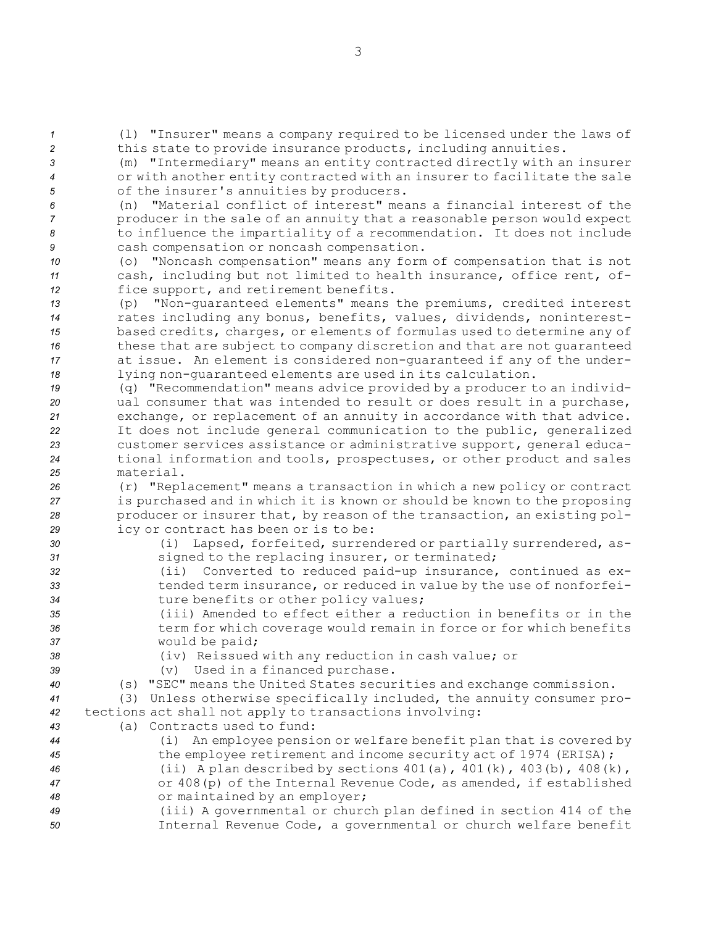*<sup>1</sup>* (l) "Insurer" means <sup>a</sup> company required to be licensed under the laws of *<sup>2</sup>* this state to provide insurance products, including annuities.

*<sup>3</sup>* (m) "Intermediary" means an entity contracted directly with an insurer *<sup>4</sup>* or with another entity contracted with an insurer to facilitate the sale *<sup>5</sup>* of the insurer's annuities by producers.

 (n) "Material conflict of interest" means <sup>a</sup> financial interest of the producer in the sale of an annuity that <sup>a</sup> reasonable person would expect to influence the impartiality of <sup>a</sup> recommendation. It does not include cash compensation or noncash compensation.

*<sup>10</sup>* (o) "Noncash compensation" means any form of compensation that is not *<sup>11</sup>* cash, including but not limited to health insurance, office rent, of-*<sup>12</sup>* fice support, and retirement benefits.

 (p) "Non-guaranteed elements" means the premiums, credited interest rates including any bonus, benefits, values, dividends, noninterest- based credits, charges, or elements of formulas used to determine any of these that are subject to company discretion and that are not guaranteed at issue. An element is considered non-guaranteed if any of the under-lying non-guaranteed elements are used in its calculation.

 (q) "Recommendation" means advice provided by <sup>a</sup> producer to an individ- ual consumer that was intended to result or does result in <sup>a</sup> purchase, exchange, or replacement of an annuity in accordance with that advice. It does not include general communication to the public, generalized customer services assistance or administrative support, general educa- tional information and tools, prospectuses, or other product and sales material.

 (r) "Replacement" means <sup>a</sup> transaction in which <sup>a</sup> new policy or contract is purchased and in which it is known or should be known to the proposing producer or insurer that, by reason of the transaction, an existing pol-icy or contract has been or is to be:

- *<sup>30</sup>* (i) Lapsed, forfeited, surrendered or partially surrendered, as-*<sup>31</sup>* signed to the replacing insurer, or terminated;
- *<sup>32</sup>* (ii) Converted to reduced paid-up insurance, continued as ex-*<sup>33</sup>* tended term insurance, or reduced in value by the use of nonforfei-*<sup>34</sup>* ture benefits or other policy values;
- *35* (iii) Amended to effect either <sup>a</sup> reduction in benefits or in the *<sup>36</sup>* term for which coverage would remain in force or for which benefits *<sup>37</sup>* would be paid;
	-
- *<sup>38</sup>* (iv) Reissued with any reduction in cash value; or *<sup>39</sup>* (v) Used in <sup>a</sup> financed purchase.
	-
- *<sup>40</sup>* (s) "SEC" means the United States securities and exchange commission.
- *<sup>41</sup>* (3) Unless otherwise specifically included, the annuity consumer pro-*<sup>42</sup>* tections act shall not apply to transactions involving:
- *43* (a) Contracts used to fund:
- *<sup>44</sup>* (i) An employee pension or welfare benefit plan that is covered by *<sup>45</sup>* the employee retirement and income security act of 1974 (ERISA); *<sup>46</sup>* (ii) <sup>A</sup> plan described by sections 401(a), 401(k), 403(b), 408(k), *<sup>47</sup>* or 408(p) of the Internal Revenue Code, as amended, if established *<sup>48</sup>* or maintained by an employer;
- *<sup>49</sup>* (iii) <sup>A</sup> governmental or church plan defined in section 414 of the *<sup>50</sup>* Internal Revenue Code, <sup>a</sup> governmental or church welfare benefit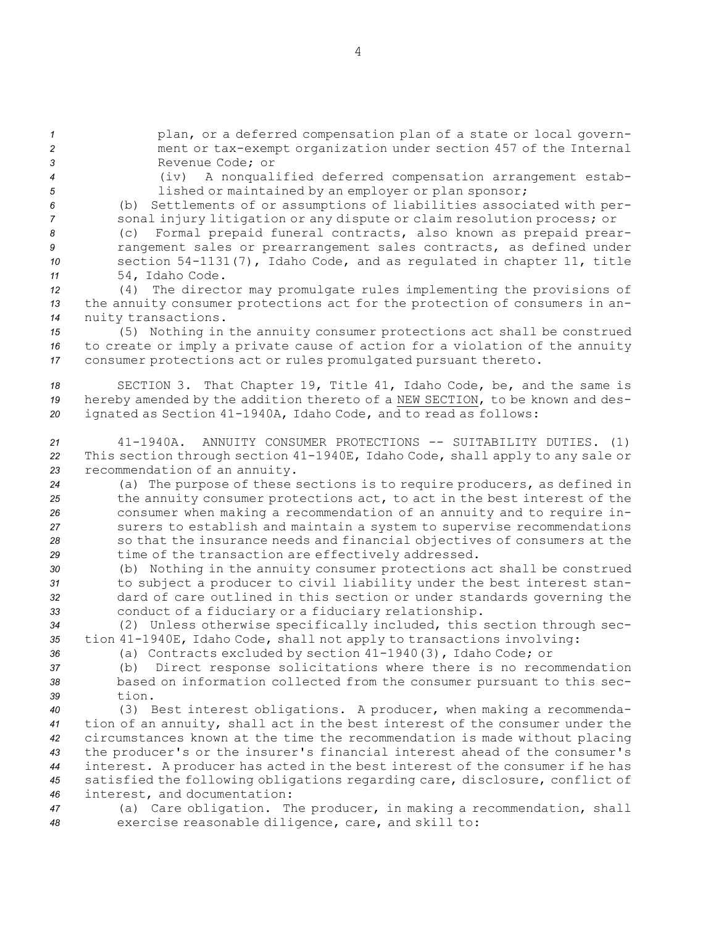*<sup>1</sup>* plan, or <sup>a</sup> deferred compensation plan of <sup>a</sup> state or local govern-*<sup>2</sup>* ment or tax-exempt organization under section 457 of the Internal *3* Revenue Code; or

- 
- 

*<sup>4</sup>* (iv) <sup>A</sup> nonqualified deferred compensation arrangement estab-*<sup>5</sup>* lished or maintained by an employer or plan sponsor;

*<sup>6</sup>* (b) Settlements of or assumptions of liabilities associated with per-*<sup>7</sup>* sonal injury litigation or any dispute or claim resolution process; or

 (c) Formal prepaid funeral contracts, also known as prepaid prear- rangement sales or prearrangement sales contracts, as defined under section 54-1131(7), Idaho Code, and as regulated in chapter 11, title 54, Idaho Code.

*<sup>12</sup>* (4) The director may promulgate rules implementing the provisions of *<sup>13</sup>* the annuity consumer protections act for the protection of consumers in an-*<sup>14</sup>* nuity transactions.

*<sup>15</sup>* (5) Nothing in the annuity consumer protections act shall be construed *<sup>16</sup>* to create or imply <sup>a</sup> private cause of action for <sup>a</sup> violation of the annuity *<sup>17</sup>* consumer protections act or rules promulgated pursuant thereto.

*<sup>18</sup>* SECTION 3. That Chapter 19, Title 41, Idaho Code, be, and the same is *<sup>19</sup>* hereby amended by the addition thereto of <sup>a</sup> NEW SECTION, to be known and des-*<sup>20</sup>* ignated as Section 41-1940A, Idaho Code, and to read as follows:

*<sup>21</sup>* 41-1940A. ANNUITY CONSUMER PROTECTIONS -- SUITABILITY DUTIES. (1) *<sup>22</sup>* This section through section 41-1940E, Idaho Code, shall apply to any sale or *<sup>23</sup>* recommendation of an annuity.

 (a) The purpose of these sections is to require producers, as defined in the annuity consumer protections act, to act in the best interest of the consumer when making <sup>a</sup> recommendation of an annuity and to require in- surers to establish and maintain <sup>a</sup> system to supervise recommendations so that the insurance needs and financial objectives of consumers at the 29 time of the transaction are effectively addressed.

 (b) Nothing in the annuity consumer protections act shall be construed to subject <sup>a</sup> producer to civil liability under the best interest stan- dard of care outlined in this section or under standards governing the conduct of <sup>a</sup> fiduciary or <sup>a</sup> fiduciary relationship.

*<sup>34</sup>* (2) Unless otherwise specifically included, this section through sec-*<sup>35</sup>* tion 41-1940E, Idaho Code, shall not apply to transactions involving:

*<sup>36</sup>* (a) Contracts excluded by section 41-1940(3), Idaho Code; or

*<sup>37</sup>* (b) Direct response solicitations where there is no recommendation *<sup>38</sup>* based on information collected from the consumer pursuant to this sec-*39* tion.

 (3) Best interest obligations. <sup>A</sup> producer, when making <sup>a</sup> recommenda- tion of an annuity, shall act in the best interest of the consumer under the circumstances known at the time the recommendation is made without placing the producer's or the insurer's financial interest ahead of the consumer's interest. <sup>A</sup> producer has acted in the best interest of the consumer if he has satisfied the following obligations regarding care, disclosure, conflict of interest, and documentation:

*<sup>47</sup>* (a) Care obligation. The producer, in making <sup>a</sup> recommendation, shall *<sup>48</sup>* exercise reasonable diligence, care, and skill to: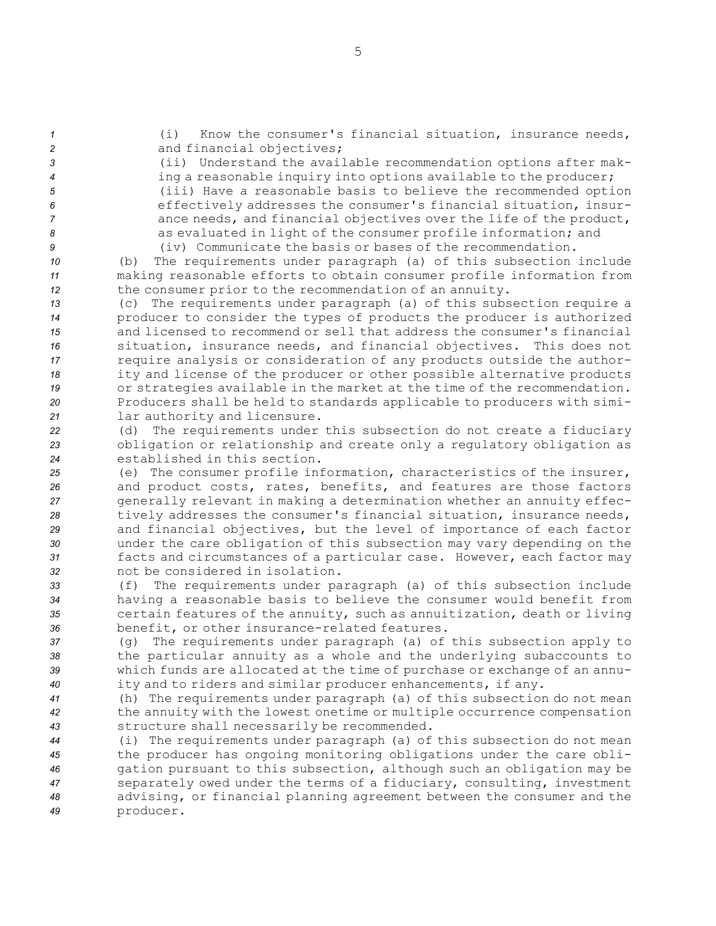(i) Know the consumer's financial situation, insurance needs, 2 and financial objectives; (ii) Understand the available recommendation options after mak- ing <sup>a</sup> reasonable inquiry into options available to the producer; (iii) Have <sup>a</sup> reasonable basis to believe the recommended option effectively addresses the consumer's financial situation, insur- ance needs, and financial objectives over the life of the product, as evaluated in light of the consumer profile information; and (iv) Communicate the basis or bases of the recommendation. (b) The requirements under paragraph (a) of this subsection include making reasonable efforts to obtain consumer profile information from the consumer prior to the recommendation of an annuity. (c) The requirements under paragraph (a) of this subsection require <sup>a</sup> producer to consider the types of products the producer is authorized and licensed to recommend or sell that address the consumer's financial situation, insurance needs, and financial objectives. This does not require analysis or consideration of any products outside the author- ity and license of the producer or other possible alternative products or strategies available in the market at the time of the recommendation. Producers shall be held to standards applicable to producers with simi- lar authority and licensure. (d) The requirements under this subsection do not create <sup>a</sup> fiduciary obligation or relationship and create only <sup>a</sup> regulatory obligation as established in this section. (e) The consumer profile information, characteristics of the insurer, and product costs, rates, benefits, and features are those factors generally relevant in making <sup>a</sup> determination whether an annuity effec- tively addresses the consumer's financial situation, insurance needs, and financial objectives, but the level of importance of each factor under the care obligation of this subsection may vary depending on the facts and circumstances of <sup>a</sup> particular case. However, each factor may not be considered in isolation. (f) The requirements under paragraph (a) of this subsection include having <sup>a</sup> reasonable basis to believe the consumer would benefit from certain features of the annuity, such as annuitization, death or living benefit, or other insurance-related features. (g) The requirements under paragraph (a) of this subsection apply to the particular annuity as <sup>a</sup> whole and the underlying subaccounts to which funds are allocated at the time of purchase or exchange of an annu- ity and to riders and similar producer enhancements, if any. (h) The requirements under paragraph (a) of this subsection do not mean the annuity with the lowest onetime or multiple occurrence compensation structure shall necessarily be recommended. (i) The requirements under paragraph (a) of this subsection do not mean the producer has ongoing monitoring obligations under the care obli- gation pursuant to this subsection, although such an obligation may be separately owed under the terms of <sup>a</sup> fiduciary, consulting, investment advising, or financial planning agreement between the consumer and the *<sup>49</sup>* producer.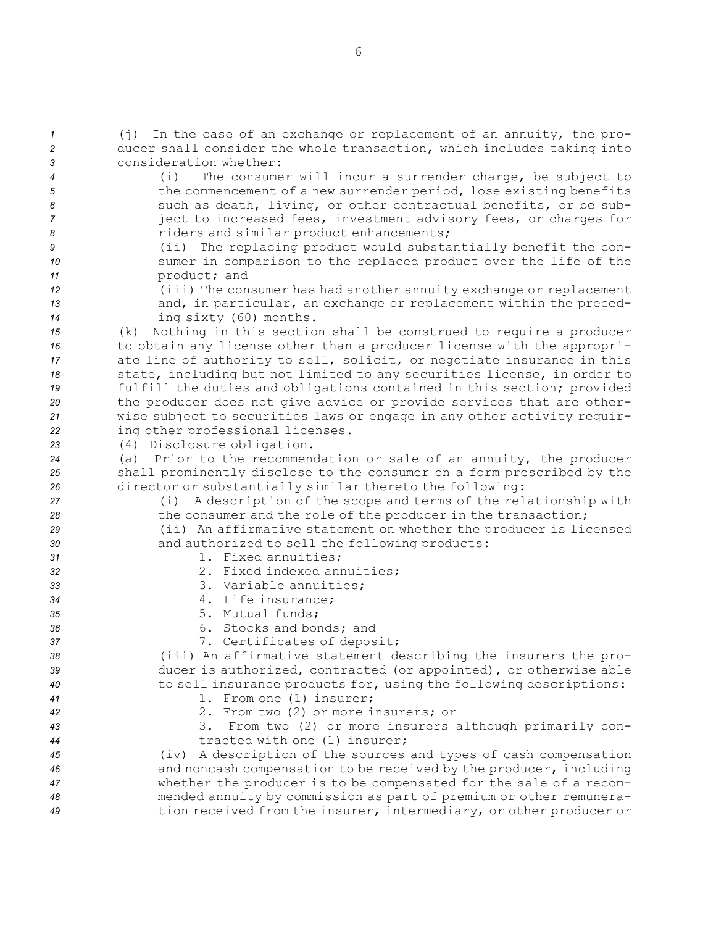| $\mathcal{I}$<br>$\overline{c}$<br>3 | (j) In the case of an exchange or replacement of an annuity, the pro-<br>ducer shall consider the whole transaction, which includes taking into<br>consideration whether:                                                                                                                                                  |
|--------------------------------------|----------------------------------------------------------------------------------------------------------------------------------------------------------------------------------------------------------------------------------------------------------------------------------------------------------------------------|
| $\boldsymbol{4}$<br>5<br>6<br>7<br>8 | (i)<br>The consumer will incur a surrender charge, be subject to<br>the commencement of a new surrender period, lose existing benefits<br>such as death, living, or other contractual benefits, or be sub-<br>ject to increased fees, investment advisory fees, or charges for<br>riders and similar product enhancements; |
| 9<br>10                              | (ii) The replacing product would substantially benefit the con-<br>sumer in comparison to the replaced product over the life of the                                                                                                                                                                                        |
| 11                                   | product; and                                                                                                                                                                                                                                                                                                               |
| 12                                   | (iii) The consumer has had another annuity exchange or replacement                                                                                                                                                                                                                                                         |
| 13<br>14                             | and, in particular, an exchange or replacement within the preced-<br>ing sixty (60) months.                                                                                                                                                                                                                                |
| 15                                   | (k) Nothing in this section shall be construed to require a producer                                                                                                                                                                                                                                                       |
| 16                                   | to obtain any license other than a producer license with the appropri-                                                                                                                                                                                                                                                     |
| 17                                   | ate line of authority to sell, solicit, or negotiate insurance in this                                                                                                                                                                                                                                                     |
| 18                                   | state, including but not limited to any securities license, in order to                                                                                                                                                                                                                                                    |
| 19                                   | fulfill the duties and obligations contained in this section; provided                                                                                                                                                                                                                                                     |
| 20                                   | the producer does not give advice or provide services that are other-                                                                                                                                                                                                                                                      |
| 21                                   | wise subject to securities laws or engage in any other activity requir-                                                                                                                                                                                                                                                    |
| 22                                   | ing other professional licenses.                                                                                                                                                                                                                                                                                           |
| 23                                   | (4) Disclosure obligation.                                                                                                                                                                                                                                                                                                 |
| 24<br>25                             | (a) Prior to the recommendation or sale of an annuity, the producer<br>shall prominently disclose to the consumer on a form prescribed by the                                                                                                                                                                              |
| 26                                   | director or substantially similar thereto the following:                                                                                                                                                                                                                                                                   |
| 27                                   | A description of the scope and terms of the relationship with<br>(i)                                                                                                                                                                                                                                                       |
| 28                                   | the consumer and the role of the producer in the transaction;                                                                                                                                                                                                                                                              |
| 29                                   | (ii) An affirmative statement on whether the producer is licensed                                                                                                                                                                                                                                                          |
| 30                                   | and authorized to sell the following products:                                                                                                                                                                                                                                                                             |
| 31                                   | 1. Fixed annuities;                                                                                                                                                                                                                                                                                                        |
| 32                                   | 2. Fixed indexed annuities;                                                                                                                                                                                                                                                                                                |
| 33                                   | 3. Variable annuities;                                                                                                                                                                                                                                                                                                     |
| 34                                   | 4. Life insurance;<br>5. Mutual funds;                                                                                                                                                                                                                                                                                     |
| 35<br>36                             | 6. Stocks and bonds; and                                                                                                                                                                                                                                                                                                   |
| 37                                   | 7. Certificates of deposit;                                                                                                                                                                                                                                                                                                |
| 38                                   | (iii) An affirmative statement describing the insurers the pro-                                                                                                                                                                                                                                                            |
| 39                                   | ducer is authorized, contracted (or appointed), or otherwise able                                                                                                                                                                                                                                                          |
| 40                                   | to sell insurance products for, using the following descriptions:                                                                                                                                                                                                                                                          |
| 41                                   | 1. From one (1) insurer;                                                                                                                                                                                                                                                                                                   |
| 42                                   | 2. From two (2) or more insurers; or                                                                                                                                                                                                                                                                                       |
| 43                                   | 3. From two (2) or more insurers although primarily con-                                                                                                                                                                                                                                                                   |
| 44                                   | tracted with one (1) insurer;                                                                                                                                                                                                                                                                                              |
| 45                                   | (iv) A description of the sources and types of cash compensation                                                                                                                                                                                                                                                           |
| 46<br>47                             | and noncash compensation to be received by the producer, including<br>whether the producer is to be compensated for the sale of a recom-                                                                                                                                                                                   |
| 48                                   | mended annuity by commission as part of premium or other remunera-                                                                                                                                                                                                                                                         |
| 49                                   | tion received from the insurer, intermediary, or other producer or                                                                                                                                                                                                                                                         |
|                                      |                                                                                                                                                                                                                                                                                                                            |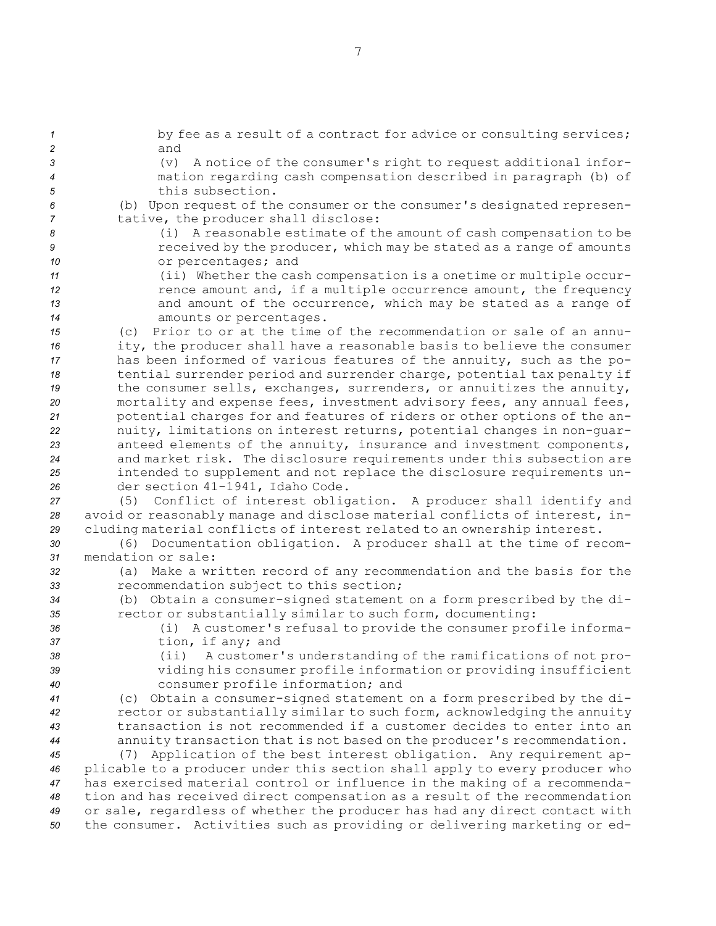1 by fee as a result of a contract for advice or consulting services; *2* and (v) <sup>A</sup> notice of the consumer's right to request additional infor- mation regarding cash compensation described in paragraph (b) of this subsection. (b) Upon request of the consumer or the consumer's designated represen- tative, the producer shall disclose: (i) <sup>A</sup> reasonable estimate of the amount of cash compensation to be **1** *P* received by the producer, which may be stated as a range of amounts or percentages; and (ii) Whether the cash compensation is <sup>a</sup> onetime or multiple occur-**12** *n* rence amount and, if a multiple occurrence amount, the frequency and amount of the occurrence, which may be stated as <sup>a</sup> range of amounts or percentages. (c) Prior to or at the time of the recommendation or sale of an annu- ity, the producer shall have <sup>a</sup> reasonable basis to believe the consumer has been informed of various features of the annuity, such as the po- tential surrender period and surrender charge, potential tax penalty if 19 the consumer sells, exchanges, surrenders, or annuitizes the annuity, mortality and expense fees, investment advisory fees, any annual fees, potential charges for and features of riders or other options of the an- nuity, limitations on interest returns, potential changes in non-guar- anteed elements of the annuity, insurance and investment components, and market risk. The disclosure requirements under this subsection are intended to supplement and not replace the disclosure requirements un- der section 41-1941, Idaho Code. (5) Conflict of interest obligation. <sup>A</sup> producer shall identify and avoid or reasonably manage and disclose material conflicts of interest, in- cluding material conflicts of interest related to an ownership interest. (6) Documentation obligation. <sup>A</sup> producer shall at the time of recom- mendation or sale: (a) Make <sup>a</sup> written record of any recommendation and the basis for the recommendation subject to this section; (b) Obtain <sup>a</sup> consumer-signed statement on <sup>a</sup> form prescribed by the di- rector or substantially similar to such form, documenting: (i) <sup>A</sup> customer's refusal to provide the consumer profile informa- tion, if any; and (ii) <sup>A</sup> customer's understanding of the ramifications of not pro- viding his consumer profile information or providing insufficient consumer profile information; and (c) Obtain <sup>a</sup> consumer-signed statement on <sup>a</sup> form prescribed by the di- rector or substantially similar to such form, acknowledging the annuity transaction is not recommended if <sup>a</sup> customer decides to enter into an annuity transaction that is not based on the producer's recommendation. (7) Application of the best interest obligation. Any requirement ap- plicable to <sup>a</sup> producer under this section shall apply to every producer who has exercised material control or influence in the making of <sup>a</sup> recommenda- tion and has received direct compensation as <sup>a</sup> result of the recommendation or sale, regardless of whether the producer has had any direct contact with the consumer. Activities such as providing or delivering marketing or ed-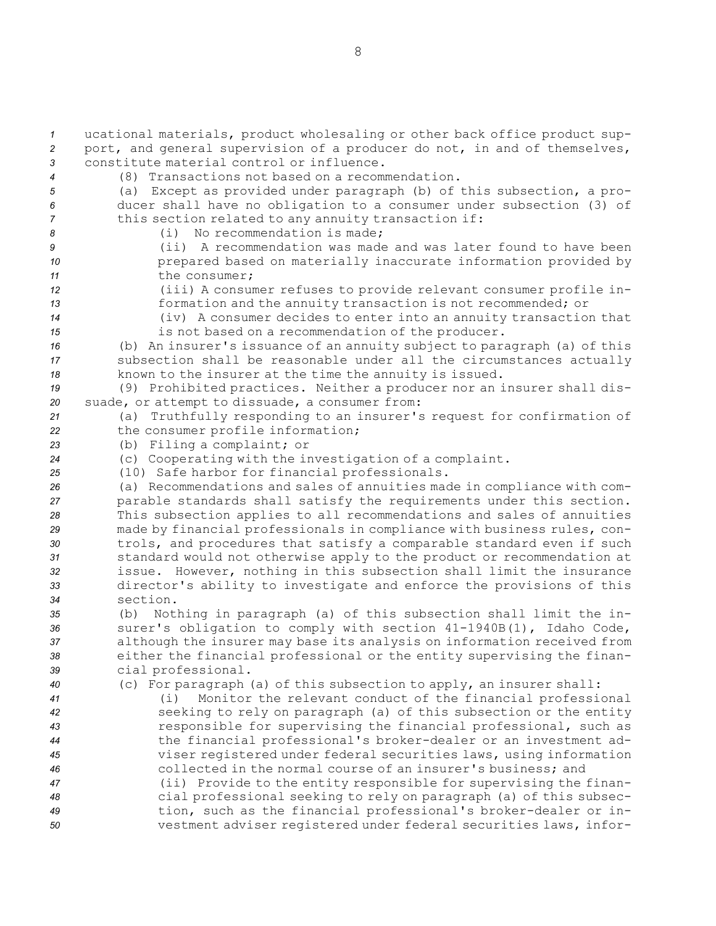ucational materials, product wholesaling or other back office product sup- port, and general supervision of <sup>a</sup> producer do not, in and of themselves, constitute material control or influence. (8) Transactions not based on <sup>a</sup> recommendation. (a) Except as provided under paragraph (b) of this subsection, <sup>a</sup> pro- ducer shall have no obligation to <sup>a</sup> consumer under subsection (3) of this section related to any annuity transaction if: (i) No recommendation is made; (ii) A recommendation was made and was later found to have been prepared based on materially inaccurate information provided by 11 the consumer: (iii) <sup>A</sup> consumer refuses to provide relevant consumer profile in- formation and the annuity transaction is not recommended; or (iv) <sup>A</sup> consumer decides to enter into an annuity transaction that is not based on <sup>a</sup> recommendation of the producer. (b) An insurer's issuance of an annuity subject to paragraph (a) of this subsection shall be reasonable under all the circumstances actually known to the insurer at the time the annuity is issued. (9) Prohibited practices. Neither <sup>a</sup> producer nor an insurer shall dis- suade, or attempt to dissuade, <sup>a</sup> consumer from: (a) Truthfully responding to an insurer's request for confirmation of the consumer profile information; (b) Filing <sup>a</sup> complaint; or (c) Cooperating with the investigation of <sup>a</sup> complaint. (10) Safe harbor for financial professionals. (a) Recommendations and sales of annuities made in compliance with com- parable standards shall satisfy the requirements under this section. This subsection applies to all recommendations and sales of annuities made by financial professionals in compliance with business rules, con- trols, and procedures that satisfy <sup>a</sup> comparable standard even if such standard would not otherwise apply to the product or recommendation at issue. However, nothing in this subsection shall limit the insurance director's ability to investigate and enforce the provisions of this *34* section. (b) Nothing in paragraph (a) of this subsection shall limit the in-36 surer's obligation to comply with section  $41-1940B(1)$ , Idaho Code, although the insurer may base its analysis on information received from either the financial professional or the entity supervising the finan- cial professional. (c) For paragraph (a) of this subsection to apply, an insurer shall: (i) Monitor the relevant conduct of the financial professional seeking to rely on paragraph (a) of this subsection or the entity responsible for supervising the financial professional, such as the financial professional's broker-dealer or an investment ad- viser registered under federal securities laws, using information collected in the normal course of an insurer's business; and (ii) Provide to the entity responsible for supervising the finan- cial professional seeking to rely on paragraph (a) of this subsec- tion, such as the financial professional's broker-dealer or in-vestment adviser registered under federal securities laws, infor-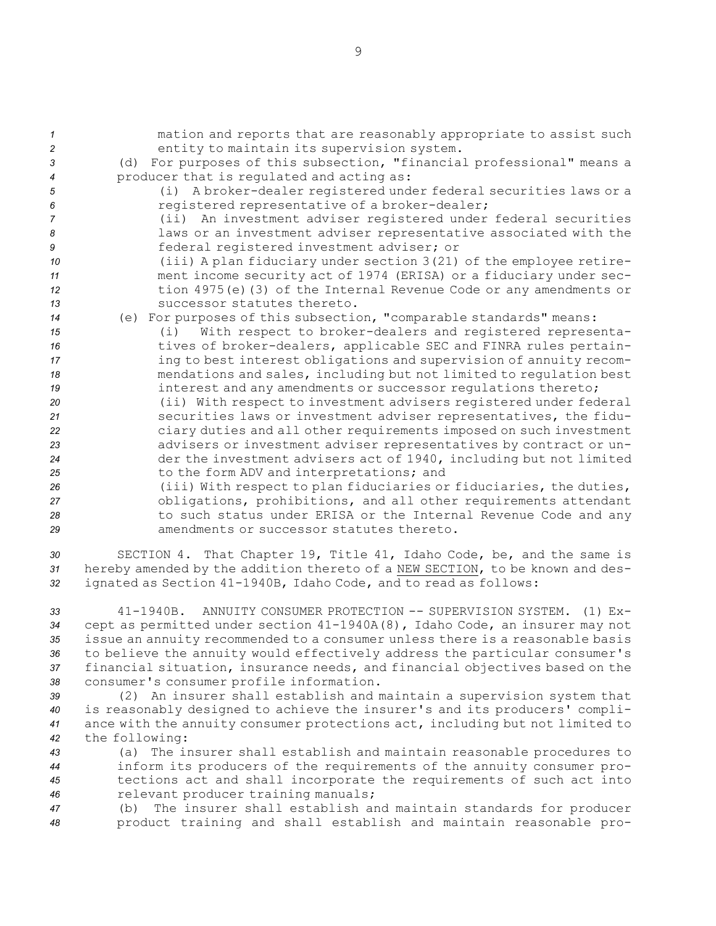| $\mathcal I$   | mation and reports that are reasonably appropriate to assist such     |
|----------------|-----------------------------------------------------------------------|
| $\overline{c}$ | entity to maintain its supervision system.                            |
| 3              | (d) For purposes of this subsection, "financial professional" means a |
| $\overline{4}$ | producer that is regulated and acting as:                             |
| 5              | A broker-dealer registered under federal securities laws or a<br>(i)  |
| 6              | registered representative of a broker-dealer;                         |
| $\overline{7}$ | (ii) An investment adviser registered under federal securities        |
| 8              | laws or an investment adviser representative associated with the      |
| 9              | federal registered investment adviser; or                             |
| 10             | (iii) A plan fiduciary under section 3(21) of the employee retire-    |
| 11             | ment income security act of 1974 (ERISA) or a fiduciary under sec-    |
| 12             | tion 4975(e)(3) of the Internal Revenue Code or any amendments or     |
| 13             | successor statutes thereto.                                           |
| 14             | (e) For purposes of this subsection, "comparable standards" means:    |
| 15             | With respect to broker-dealers and registered representa-<br>(i)      |
| 16             | tives of broker-dealers, applicable SEC and FINRA rules pertain-      |
| 17             | ing to best interest obligations and supervision of annuity recom-    |
| 18             | mendations and sales, including but not limited to regulation best    |
| 19             | interest and any amendments or successor regulations thereto;         |
| 20             | (ii) With respect to investment advisers registered under federal     |
| 21             | securities laws or investment adviser representatives, the fidu-      |
| 22             | ciary duties and all other requirements imposed on such investment    |
| 23             | advisers or investment adviser representatives by contract or un-     |
| 24             | der the investment advisers act of 1940, including but not limited    |
| 25             | to the form ADV and interpretations; and                              |
| 26             | (iii) With respect to plan fiduciaries or fiduciaries, the duties,    |
| 27             | obligations, prohibitions, and all other requirements attendant       |
| 28             | to such status under ERISA or the Internal Revenue Code and any       |
| 29             | amendments or successor statutes thereto.                             |

*<sup>30</sup>* SECTION 4. That Chapter 19, Title 41, Idaho Code, be, and the same is *<sup>31</sup>* hereby amended by the addition thereto of <sup>a</sup> NEW SECTION, to be known and des-*<sup>32</sup>* ignated as Section 41-1940B, Idaho Code, and to read as follows:

 41-1940B. ANNUITY CONSUMER PROTECTION -- SUPERVISION SYSTEM. (1) Ex- cept as permitted under section 41-1940A(8), Idaho Code, an insurer may not issue an annuity recommended to <sup>a</sup> consumer unless there is <sup>a</sup> reasonable basis to believe the annuity would effectively address the particular consumer's financial situation, insurance needs, and financial objectives based on the consumer's consumer profile information.

 (2) An insurer shall establish and maintain <sup>a</sup> supervision system that is reasonably designed to achieve the insurer's and its producers' compli- ance with the annuity consumer protections act, including but not limited to the following:

 (a) The insurer shall establish and maintain reasonable procedures to inform its producers of the requirements of the annuity consumer pro- tections act and shall incorporate the requirements of such act into relevant producer training manuals;

*<sup>47</sup>* (b) The insurer shall establish and maintain standards for producer *<sup>48</sup>* product training and shall establish and maintain reasonable pro-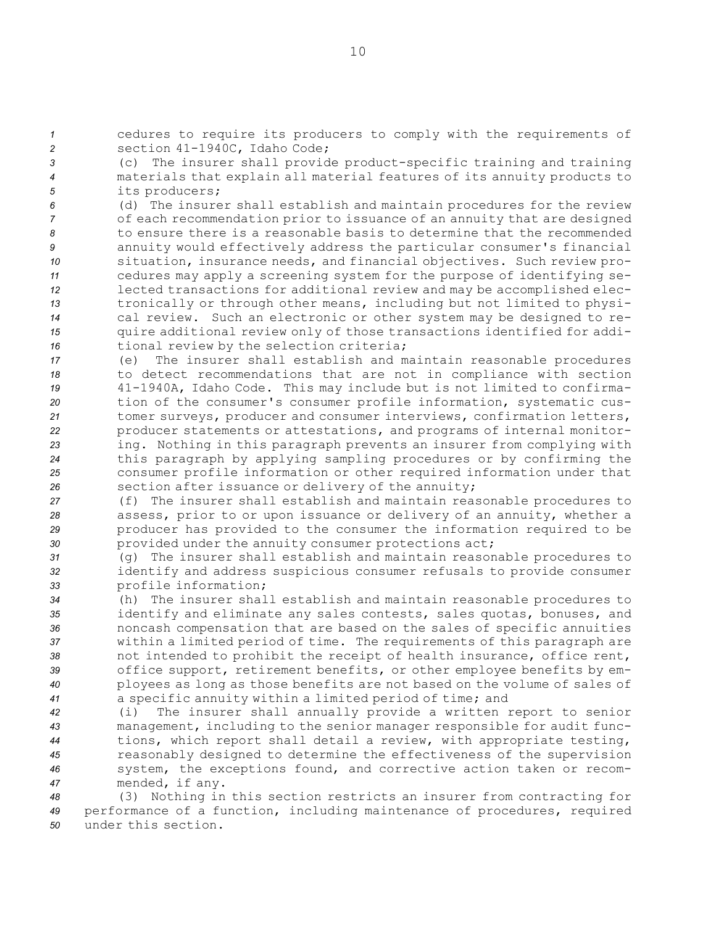*<sup>1</sup>* cedures to require its producers to comply with the requirements of *<sup>2</sup>* section 41-1940C, Idaho Code;

*<sup>3</sup>* (c) The insurer shall provide product-specific training and training *<sup>4</sup>* materials that explain all material features of its annuity products to *<sup>5</sup>* its producers;

 (d) The insurer shall establish and maintain procedures for the review of each recommendation prior to issuance of an annuity that are designed to ensure there is <sup>a</sup> reasonable basis to determine that the recommended annuity would effectively address the particular consumer's financial situation, insurance needs, and financial objectives. Such review pro- cedures may apply <sup>a</sup> screening system for the purpose of identifying se- lected transactions for additional review and may be accomplished elec- tronically or through other means, including but not limited to physi- cal review. Such an electronic or other system may be designed to re- quire additional review only of those transactions identified for addi-tional review by the selection criteria;

 (e) The insurer shall establish and maintain reasonable procedures to detect recommendations that are not in compliance with section 41-1940A, Idaho Code. This may include but is not limited to confirma- tion of the consumer's consumer profile information, systematic cus- tomer surveys, producer and consumer interviews, confirmation letters, producer statements or attestations, and programs of internal monitor- ing. Nothing in this paragraph prevents an insurer from complying with this paragraph by applying sampling procedures or by confirming the consumer profile information or other required information under that section after issuance or delivery of the annuity;

 (f) The insurer shall establish and maintain reasonable procedures to assess, prior to or upon issuance or delivery of an annuity, whether <sup>a</sup> producer has provided to the consumer the information required to be provided under the annuity consumer protections act;

*<sup>31</sup>* (g) The insurer shall establish and maintain reasonable procedures to *<sup>32</sup>* identify and address suspicious consumer refusals to provide consumer *<sup>33</sup>* profile information;

 (h) The insurer shall establish and maintain reasonable procedures to identify and eliminate any sales contests, sales quotas, bonuses, and noncash compensation that are based on the sales of specific annuities within <sup>a</sup> limited period of time. The requirements of this paragraph are not intended to prohibit the receipt of health insurance, office rent, office support, retirement benefits, or other employee benefits by em- ployees as long as those benefits are not based on the volume of sales of <sup>a</sup> specific annuity within <sup>a</sup> limited period of time; and

 (i) The insurer shall annually provide <sup>a</sup> written report to senior management, including to the senior manager responsible for audit func- tions, which report shall detail <sup>a</sup> review, with appropriate testing, reasonably designed to determine the effectiveness of the supervision system, the exceptions found, and corrective action taken or recom-mended, if any.

*<sup>48</sup>* (3) Nothing in this section restricts an insurer from contracting for *<sup>49</sup>* performance of <sup>a</sup> function, including maintenance of procedures, required *50* under this section.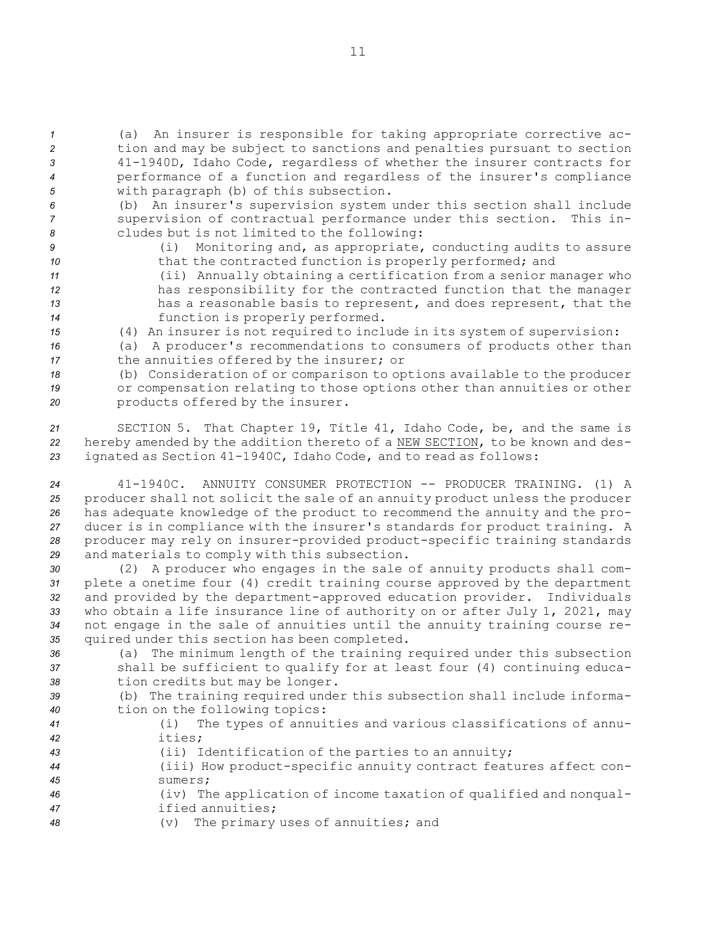(a) An insurer is responsible for taking appropriate corrective ac- tion and may be subject to sanctions and penalties pursuant to section 41-1940D, Idaho Code, regardless of whether the insurer contracts for performance of <sup>a</sup> function and regardless of the insurer's compliance with paragraph (b) of this subsection.

*<sup>6</sup>* (b) An insurer's supervision system under this section shall include *<sup>7</sup>* supervision of contractual performance under this section. This in-*<sup>8</sup>* cludes but is not limited to the following:

*<sup>9</sup>* (i) Monitoring and, as appropriate, conducting audits to assure

10 that the contracted function is properly performed; and *<sup>11</sup>* (ii) Annually obtaining <sup>a</sup> certification from <sup>a</sup> senior manager who

*<sup>12</sup>* has responsibility for the contracted function that the manager *<sup>13</sup>* has <sup>a</sup> reasonable basis to represent, and does represent, that the *<sup>14</sup>* function is properly performed.

*<sup>15</sup>* (4) An insurer is not required to include in its system of supervision:

*<sup>16</sup>* (a) <sup>A</sup> producer's recommendations to consumers of products other than *<sup>17</sup>* the annuities offered by the insurer; or

*<sup>18</sup>* (b) Consideration of or comparison to options available to the producer *<sup>19</sup>* or compensation relating to those options other than annuities or other *<sup>20</sup>* products offered by the insurer.

*<sup>21</sup>* SECTION 5. That Chapter 19, Title 41, Idaho Code, be, and the same is *<sup>22</sup>* hereby amended by the addition thereto of <sup>a</sup> NEW SECTION, to be known and des-*<sup>23</sup>* ignated as Section 41-1940C, Idaho Code, and to read as follows:

 41-1940C. ANNUITY CONSUMER PROTECTION -- PRODUCER TRAINING. (1) A 25 producer shall not solicit the sale of an annuity product unless the producer has adequate knowledge of the product to recommend the annuity and the pro- ducer is in compliance with the insurer's standards for product training. <sup>A</sup> producer may rely on insurer-provided product-specific training standards and materials to comply with this subsection.

 (2) <sup>A</sup> producer who engages in the sale of annuity products shall com- plete <sup>a</sup> onetime four (4) credit training course approved by the department and provided by the department-approved education provider. Individuals who obtain <sup>a</sup> life insurance line of authority on or after July 1, 2021, may not engage in the sale of annuities until the annuity training course re-quired under this section has been completed.

*<sup>36</sup>* (a) The minimum length of the training required under this subsection *<sup>37</sup>* shall be sufficient to qualify for at least four (4) continuing educa-*<sup>38</sup>* tion credits but may be longer.

*<sup>39</sup>* (b) The training required under this subsection shall include informa-*<sup>40</sup>* tion on the following topics:

- *<sup>41</sup>* (i) The types of annuities and various classifications of annu-*42* ities;
- *<sup>43</sup>* (ii) Identification of the parties to an annuity;
- *<sup>44</sup>* (iii) How product-specific annuity contract features affect con-*45* sumers;
- *<sup>46</sup>* (iv) The application of income taxation of qualified and nonqual-*47* ified annuities;
- *<sup>48</sup>* (v) The primary uses of annuities; and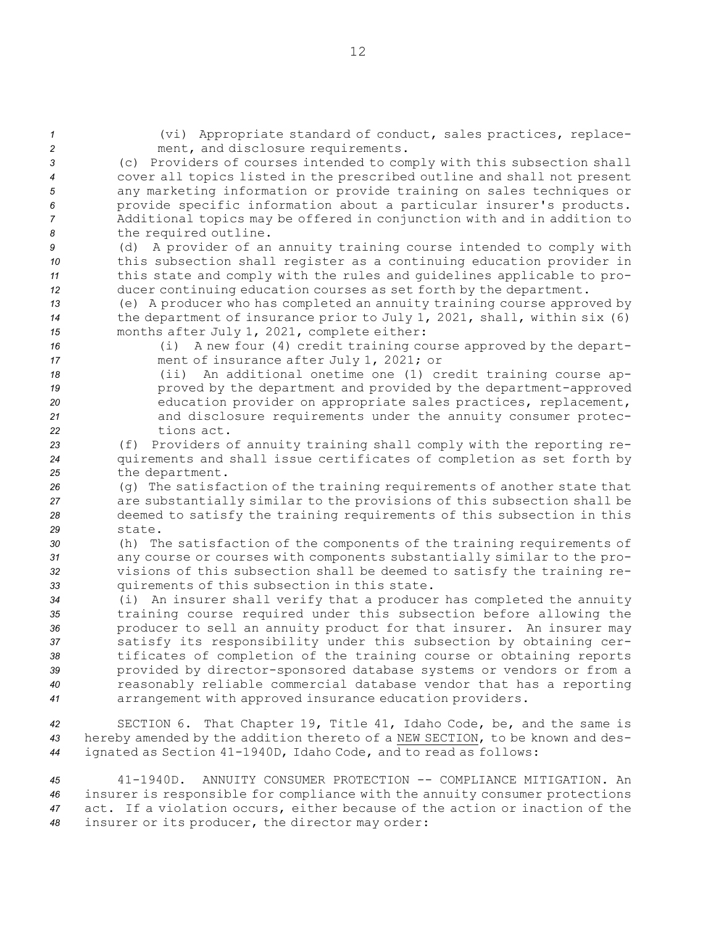| $\mathbf{1}$<br>$\overline{c}$ | (vi) Appropriate standard of conduct, sales practices, replace-<br>ment, and disclosure requirements.                                             |
|--------------------------------|---------------------------------------------------------------------------------------------------------------------------------------------------|
| 3                              | (c) Providers of courses intended to comply with this subsection shall                                                                            |
| 4                              | cover all topics listed in the prescribed outline and shall not present                                                                           |
| 5                              | any marketing information or provide training on sales techniques or                                                                              |
| 6                              | provide specific information about a particular insurer's products.                                                                               |
| 7                              | Additional topics may be offered in conjunction with and in addition to                                                                           |
| 8                              | the required outline.<br>A provider of an annuity training course intended to comply with                                                         |
| 9<br>10                        | (d)<br>this subsection shall register as a continuing education provider in                                                                       |
| 11                             | this state and comply with the rules and guidelines applicable to pro-                                                                            |
| 12                             | ducer continuing education courses as set forth by the department.                                                                                |
| 13                             | (e) A producer who has completed an annuity training course approved by                                                                           |
| 14                             | the department of insurance prior to July 1, 2021, shall, within six (6)                                                                          |
| 15<br>16                       | months after July 1, 2021, complete either:<br>A new four (4) credit training course approved by the depart-<br>(i)                               |
| 17                             | ment of insurance after July 1, 2021; or                                                                                                          |
| 18                             | An additional onetime one (1) credit training course ap-<br>(i)                                                                                   |
| 19                             | proved by the department and provided by the department-approved                                                                                  |
| 20                             | education provider on appropriate sales practices, replacement,                                                                                   |
| 21<br>22                       | and disclosure requirements under the annuity consumer protec-<br>tions act.                                                                      |
| 23                             | Providers of annuity training shall comply with the reporting re-<br>(f)                                                                          |
| 24                             | quirements and shall issue certificates of completion as set forth by                                                                             |
| 25                             | the department.                                                                                                                                   |
| 26                             | (q) The satisfaction of the training requirements of another state that                                                                           |
| 27                             | are substantially similar to the provisions of this subsection shall be<br>deemed to satisfy the training requirements of this subsection in this |
| 28<br>29                       | state.                                                                                                                                            |
| 30                             | (h) The satisfaction of the components of the training requirements of                                                                            |
| 31                             | any course or courses with components substantially similar to the pro-                                                                           |
| 32                             | visions of this subsection shall be deemed to satisfy the training re-                                                                            |
| 33                             | quirements of this subsection in this state.                                                                                                      |
| 34<br>35                       | (i) An insurer shall verify that a producer has completed the annuity<br>training course required under this subsection before allowing the       |
| 36                             | producer to sell an annuity product for that insurer. An insurer may                                                                              |
| 37                             | satisfy its responsibility under this subsection by obtaining cer-                                                                                |
| 38                             | tificates of completion of the training course or obtaining reports                                                                               |
| 39                             | provided by director-sponsored database systems or vendors or from a                                                                              |
| 40<br>41                       | reasonably reliable commercial database vendor that has a reporting<br>arrangement with approved insurance education providers.                   |
|                                |                                                                                                                                                   |
| 42                             | SECTION 6. That Chapter 19, Title 41, Idaho Code, be, and the same is                                                                             |
| 43                             | hereby amended by the addition thereto of a NEW SECTION, to be known and des-                                                                     |
| 44                             | ignated as Section 41-1940D, Idaho Code, and to read as follows:                                                                                  |
| 45                             | $41 - 1940D$ .<br>ANNUITY CONSUMER PROTECTION -- COMPLIANCE MITIGATION. An                                                                        |
|                                | $\sim 1 - E_{\rm crit}$ a same $1.2 - E_{\rm crit}$ and $E_{\rm eff}$ the same contribution and $\sim 1$                                          |

*<sup>46</sup>* insurer is responsible for compliance with the annuity consumer protections *<sup>47</sup>* act. If <sup>a</sup> violation occurs, either because of the action or inaction of the *<sup>48</sup>* insurer or its producer, the director may order: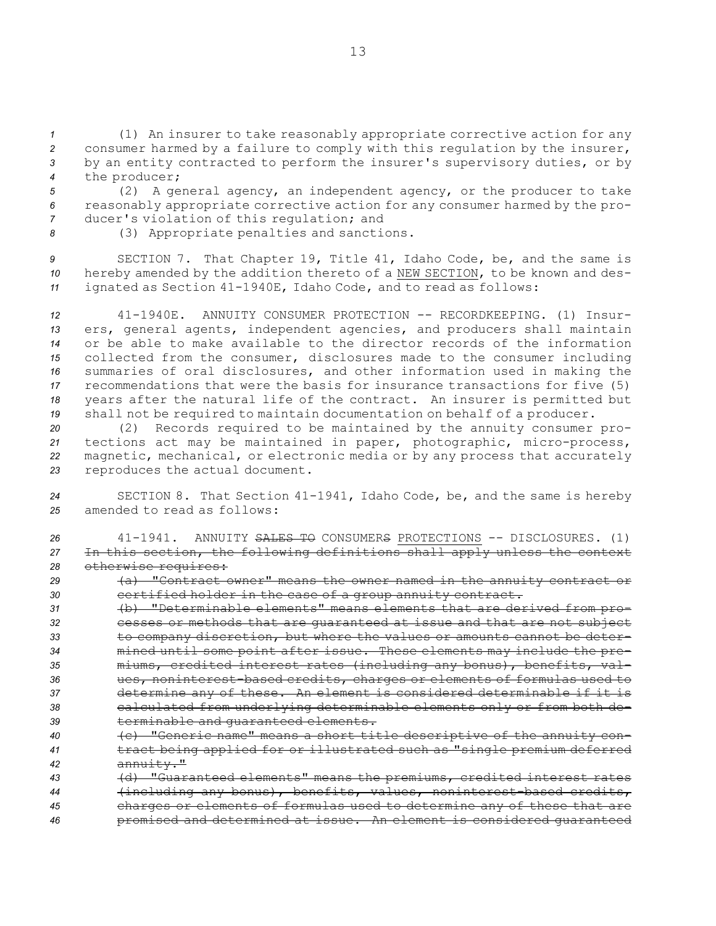(1) An insurer to take reasonably appropriate corrective action for any consumer harmed by <sup>a</sup> failure to comply with this regulation by the insurer, by an entity contracted to perform the insurer's supervisory duties, or by the producer;

*<sup>5</sup>* (2) <sup>A</sup> general agency, an independent agency, or the producer to take *<sup>6</sup>* reasonably appropriate corrective action for any consumer harmed by the pro-*<sup>7</sup>* ducer's violation of this regulation; and

*<sup>8</sup>* (3) Appropriate penalties and sanctions.

*<sup>9</sup>* SECTION 7. That Chapter 19, Title 41, Idaho Code, be, and the same is *<sup>10</sup>* hereby amended by the addition thereto of <sup>a</sup> NEW SECTION, to be known and des-*<sup>11</sup>* ignated as Section 41-1940E, Idaho Code, and to read as follows:

 41-1940E. ANNUITY CONSUMER PROTECTION -- RECORDKEEPING. (1) Insur- ers, general agents, independent agencies, and producers shall maintain or be able to make available to the director records of the information collected from the consumer, disclosures made to the consumer including summaries of oral disclosures, and other information used in making the recommendations that were the basis for insurance transactions for five (5) years after the natural life of the contract. An insurer is permitted but shall not be required to maintain documentation on behalf of <sup>a</sup> producer.

 (2) Records required to be maintained by the annuity consumer pro- tections act may be maintained in paper, photographic, micro-process, magnetic, mechanical, or electronic media or by any process that accurately reproduces the actual document.

*<sup>24</sup>* SECTION 8. That Section 41-1941, Idaho Code, be, and the same is hereby *25* amended to read as follows:

| 26  | 41-1941. ANNUITY SALES TO CONSUMERS PROTECTIONS -- DISCLOSURES. (1)       |
|-----|---------------------------------------------------------------------------|
| 27  | In this section, the following definitions shall apply unless the context |
| 28  | otherwise requires:                                                       |
| -29 | (a) "Contract owner" means the owner named in the annuity contract or     |
| -30 | certified holder in the case of a group annuity contract.                 |

 (b) "Determinable elements" means elements that are derived from pro- cesses or methods that are guaranteed at issue and that are not subject to company discretion, but where the values or amounts cannot be deter- mined until some point after issue. These elements may include the pre- miums, credited interest rates (including any bonus), benefits, val- ues, noninterest-based credits, charges or elements of formulas used to determine any of these. An element is considered determinable if it is calculated from underlying determinable elements only or from both de-terminable and guaranteed elements.

- *<sup>40</sup>* (c) "Generic name" means <sup>a</sup> short title descriptive of the annuity con-*<sup>41</sup>* tract being applied for or illustrated such as "single premium deferred *<sup>42</sup>* annuity."
- *<sup>43</sup>* (d) "Guaranteed elements" means the premiums, credited interest rates *<sup>44</sup>* (including any bonus), benefits, values, noninterest-based credits, *<sup>45</sup>* charges or elements of formulas used to determine any of these that are
- *<sup>46</sup>* promised and determined at issue. An element is considered guaranteed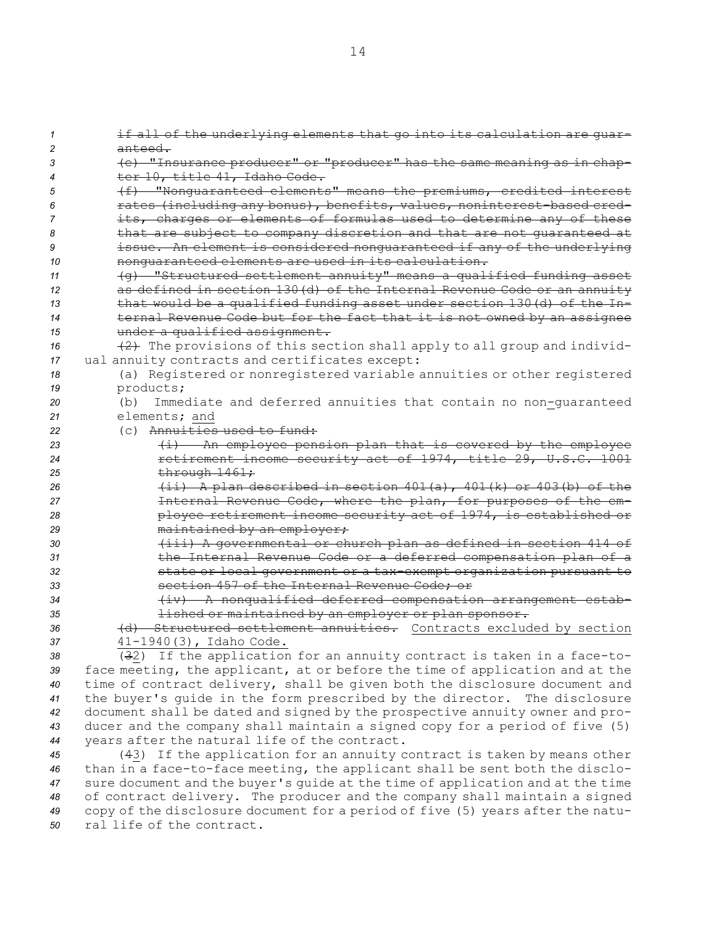if all of the underlying elements that go into its calculation are guar-*2* anteed. (e) "Insurance producer" or "producer" has the same meaning as in chap-4 ter 10, title 41, Idaho Code. (f) "Nonguaranteed elements" means the premiums, credited interest rates (including any bonus), benefits, values, noninterest-based cred- its, charges or elements of formulas used to determine any of these that are subject to company discretion and that are not guaranteed at issue. An element is considered nonguaranteed if any of the underlying nonguaranteed elements are used in its calculation. (g) "Structured settlement annuity" means <sup>a</sup> qualified funding asset as defined in section 130(d) of the Internal Revenue Code or an annuity that would be <sup>a</sup> qualified funding asset under section 130(d) of the In- ternal Revenue Code but for the fact that it is not owned by an assignee under <sup>a</sup> qualified assignment. 16 (2) The provisions of this section shall apply to all group and individ- ual annuity contracts and certificates except: (a) Registered or nonregistered variable annuities or other registered products; (b) Immediate and deferred annuities that contain no non-guaranteed elements; and (c) Annuities used to fund: (i) An employee pension plan that is covered by the employee retirement income security act of 1974, title 29, U.S.C. 1001 25 through  $1461;$  (ii) <sup>A</sup> plan described in section 401(a), 401(k) or 403(b) of the Internal Revenue Code, where the plan, for purposes of the em- ployee retirement income security act of 1974, is established or 29 maintained by an employer; (iii) <sup>A</sup> governmental or church plan as defined in section 414 of the Internal Revenue Code or <sup>a</sup> deferred compensation plan of <sup>a</sup> state or local government or <sup>a</sup> tax-exempt organization pursuant to section 457 of the Internal Revenue Code; or (iv) <sup>A</sup> nonqualified deferred compensation arrangement estab- lished or maintained by an employer or plan sponsor. (d) Structured settlement annuities. Contracts excluded by section 41-1940(3), Idaho Code. (32) If the application for an annuity contract is taken in <sup>a</sup> face-to-

 face meeting, the applicant, at or before the time of application and at the time of contract delivery, shall be given both the disclosure document and the buyer's guide in the form prescribed by the director. The disclosure document shall be dated and signed by the prospective annuity owner and pro- ducer and the company shall maintain <sup>a</sup> signed copy for <sup>a</sup> period of five (5) years after the natural life of the contract.

 (43) If the application for an annuity contract is taken by means other than in <sup>a</sup> face-to-face meeting, the applicant shall be sent both the disclo- sure document and the buyer's guide at the time of application and at the time of contract delivery. The producer and the company shall maintain <sup>a</sup> signed copy of the disclosure document for <sup>a</sup> period of five (5) years after the natu-ral life of the contract.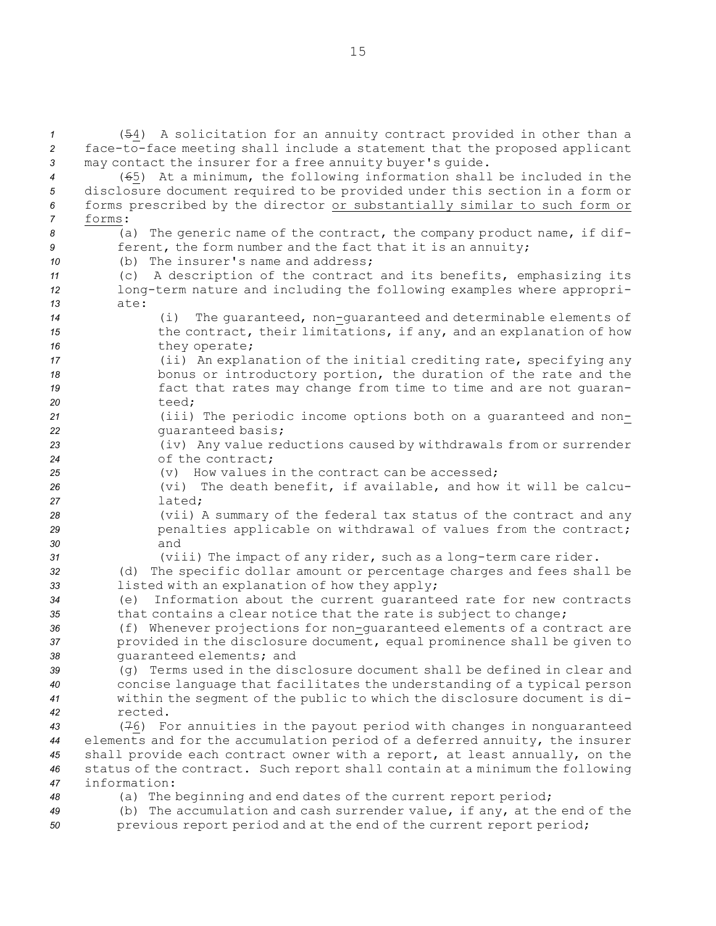(54) <sup>A</sup> solicitation for an annuity contract provided in other than <sup>a</sup> face-to-face meeting shall include <sup>a</sup> statement that the proposed applicant may contact the insurer for <sup>a</sup> free annuity buyer's guide. (65) At <sup>a</sup> minimum, the following information shall be included in the disclosure document required to be provided under this section in <sup>a</sup> form or forms prescribed by the director or substantially similar to such form or *7* forms: (a) The generic name of the contract, the company product name, if dif- **ferent, the form number and the fact that it is an annuity;**  (b) The insurer's name and address; (c) <sup>A</sup> description of the contract and its benefits, emphasizing its long-term nature and including the following examples where appropri-*13* ate: (i) The guaranteed, non-guaranteed and determinable elements of **15** the contract, their limitations, if any, and an explanation of how 16 they operate; (ii) An explanation of the initial crediting rate, specifying any bonus or introductory portion, the duration of the rate and the fact that rates may change from time to time and are not guaran-*20* teed; (iii) The periodic income options both on <sup>a</sup> guaranteed and non- guaranteed basis; (iv) Any value reductions caused by withdrawals from or surrender of the contract; (v) How values in the contract can be accessed; (vi) The death benefit, if available, and how it will be calcu-*27* lated; (vii) <sup>A</sup> summary of the federal tax status of the contract and any **penalties applicable on withdrawal of values from the contract;** *30* and (viii) The impact of any rider, such as <sup>a</sup> long-term care rider. (d) The specific dollar amount or percentage charges and fees shall be listed with an explanation of how they apply; (e) Information about the current guaranteed rate for new contracts 35 that contains a clear notice that the rate is subject to change; (f) Whenever projections for non-guaranteed elements of <sup>a</sup> contract are provided in the disclosure document, equal prominence shall be given to guaranteed elements; and (g) Terms used in the disclosure document shall be defined in clear and concise language that facilitates the understanding of <sup>a</sup> typical person within the segment of the public to which the disclosure document is di-*42* rected. (76) For annuities in the payout period with changes in nonguaranteed elements and for the accumulation period of <sup>a</sup> deferred annuity, the insurer shall provide each contract owner with <sup>a</sup> report, at least annually, on the status of the contract. Such report shall contain at <sup>a</sup> minimum the following information: (a) The beginning and end dates of the current report period; (b) The accumulation and cash surrender value, if any, at the end of the 50 previous report period and at the end of the current report period;